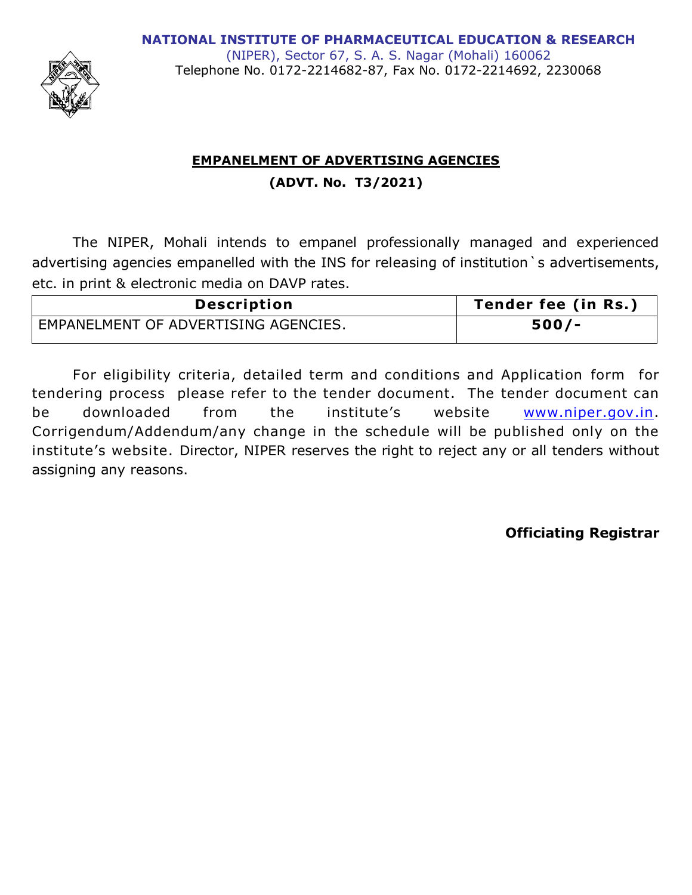

(NIPER), Sector 67, S. A. S. Nagar (Mohali) 160062 Telephone No. 0172-2214682-87, Fax No. 0172-2214692, 2230068

# **EMPANELMENT OF ADVERTISING AGENCIES (ADVT. No. T3/2021)**

The NIPER, Mohali intends to empanel professionally managed and experienced advertising agencies empanelled with the INS for releasing of institution `s advertisements, etc. in print & electronic media on DAVP rates.

| <b>Description</b>                   | Tender fee (in Rs.) |
|--------------------------------------|---------------------|
| EMPANELMENT OF ADVERTISING AGENCIES. | $500/-$             |

For eligibility criteria, detailed term and conditions and Application form for tendering process please refer to the tender document. The tender document can be downloaded from the institute's website [www.niper.gov.in.](http://www.niper.gov.in/) Corrigendum/Addendum/any change in the schedule will be published only on the institute's website. Director, NIPER reserves the right to reject any or all tenders without assigning any reasons.

**Officiating Registrar**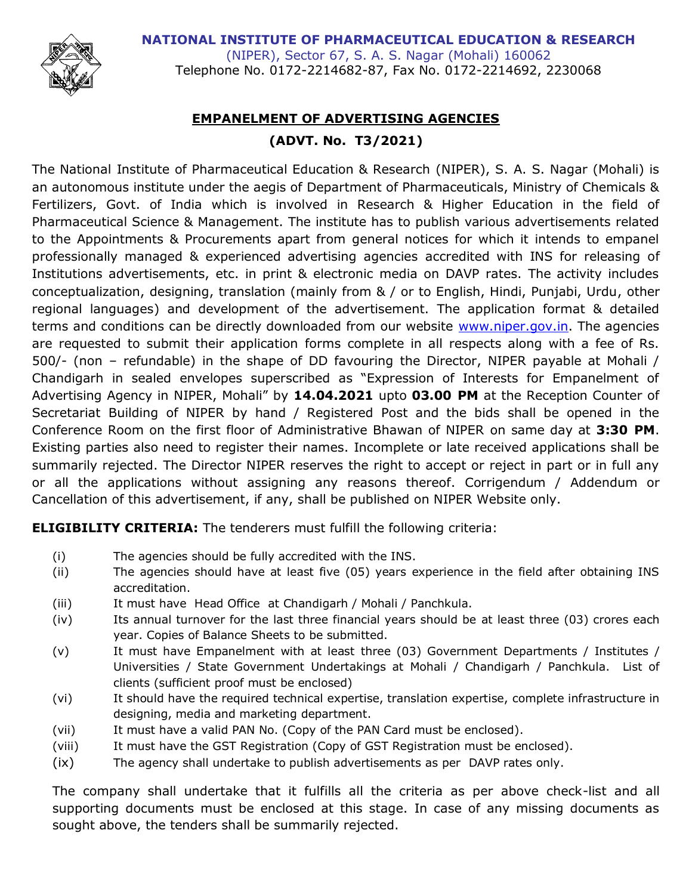**NATIONAL INSTITUTE OF PHARMACEUTICAL EDUCATION & RESEARCH** 



(NIPER), Sector 67, S. A. S. Nagar (Mohali) 160062 Telephone No. 0172-2214682-87, Fax No. 0172-2214692, 2230068

# **EMPANELMENT OF ADVERTISING AGENCIES (ADVT. No. T3/2021)**

The National Institute of Pharmaceutical Education & Research (NIPER), S. A. S. Nagar (Mohali) is an autonomous institute under the aegis of Department of Pharmaceuticals, Ministry of Chemicals & Fertilizers, Govt. of India which is involved in Research & Higher Education in the field of Pharmaceutical Science & Management. The institute has to publish various advertisements related to the Appointments & Procurements apart from general notices for which it intends to empanel professionally managed & experienced advertising agencies accredited with INS for releasing of Institutions advertisements, etc. in print & electronic media on DAVP rates. The activity includes conceptualization, designing, translation (mainly from & / or to English, Hindi, Punjabi, Urdu, other regional languages) and development of the advertisement. The application format & detailed terms and conditions can be directly downloaded from our website [www.niper.gov.in.](http://www.niper.gov.in/) The agencies are requested to submit their application forms complete in all respects along with a fee of Rs. 500/- (non – refundable) in the shape of DD favouring the Director, NIPER payable at Mohali / Chandigarh in sealed envelopes superscribed as "Expression of Interests for Empanelment of Advertising Agency in NIPER, Mohali" by **14.04.2021** upto **03.00 PM** at the Reception Counter of Secretariat Building of NIPER by hand / Registered Post and the bids shall be opened in the Conference Room on the first floor of Administrative Bhawan of NIPER on same day at **3:30 PM**. Existing parties also need to register their names. Incomplete or late received applications shall be summarily rejected. The Director NIPER reserves the right to accept or reject in part or in full any or all the applications without assigning any reasons thereof. Corrigendum / Addendum or Cancellation of this advertisement, if any, shall be published on NIPER Website only.

**ELIGIBILITY CRITERIA:** The tenderers must fulfill the following criteria:

- (i) The agencies should be fully accredited with the INS.
- (ii) The agencies should have at least five (05) years experience in the field after obtaining INS accreditation.
- (iii) It must have Head Office at Chandigarh / Mohali / Panchkula.
- (iv) Its annual turnover for the last three financial years should be at least three (03) crores each year. Copies of Balance Sheets to be submitted.
- (v) It must have Empanelment with at least three (03) Government Departments / Institutes / Universities / State Government Undertakings at Mohali / Chandigarh / Panchkula. List of clients (sufficient proof must be enclosed)
- (vi) It should have the required technical expertise, translation expertise, complete infrastructure in designing, media and marketing department.
- (vii) It must have a valid PAN No. (Copy of the PAN Card must be enclosed).
- (viii) It must have the GST Registration (Copy of GST Registration must be enclosed).
- (ix) The agency shall undertake to publish advertisements as per DAVP rates only.

The company shall undertake that it fulfills all the criteria as per above check-list and all supporting documents must be enclosed at this stage. In case of any missing documents as sought above, the tenders shall be summarily rejected.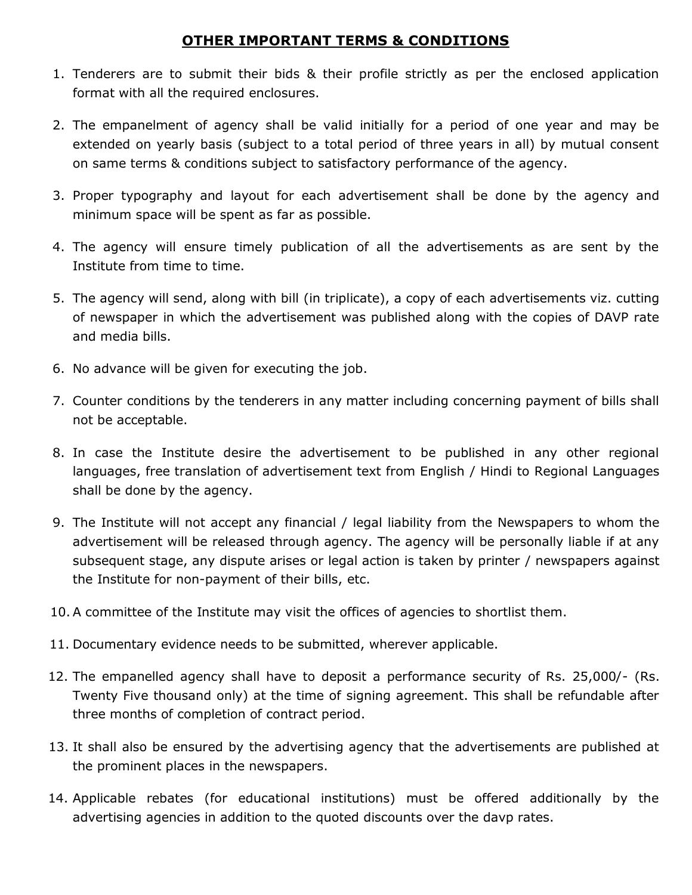## **OTHER IMPORTANT TERMS & CONDITIONS**

- 1. Tenderers are to submit their bids & their profile strictly as per the enclosed application format with all the required enclosures.
- 2. The empanelment of agency shall be valid initially for a period of one year and may be extended on yearly basis (subject to a total period of three years in all) by mutual consent on same terms & conditions subject to satisfactory performance of the agency.
- 3. Proper typography and layout for each advertisement shall be done by the agency and minimum space will be spent as far as possible.
- 4. The agency will ensure timely publication of all the advertisements as are sent by the Institute from time to time.
- 5. The agency will send, along with bill (in triplicate), a copy of each advertisements viz. cutting of newspaper in which the advertisement was published along with the copies of DAVP rate and media bills.
- 6. No advance will be given for executing the job.
- 7. Counter conditions by the tenderers in any matter including concerning payment of bills shall not be acceptable.
- 8. In case the Institute desire the advertisement to be published in any other regional languages, free translation of advertisement text from English / Hindi to Regional Languages shall be done by the agency.
- 9. The Institute will not accept any financial / legal liability from the Newspapers to whom the advertisement will be released through agency. The agency will be personally liable if at any subsequent stage, any dispute arises or legal action is taken by printer / newspapers against the Institute for non-payment of their bills, etc.
- 10. A committee of the Institute may visit the offices of agencies to shortlist them.
- 11. Documentary evidence needs to be submitted, wherever applicable.
- 12. The empanelled agency shall have to deposit a performance security of Rs. 25,000/- (Rs. Twenty Five thousand only) at the time of signing agreement. This shall be refundable after three months of completion of contract period.
- 13. It shall also be ensured by the advertising agency that the advertisements are published at the prominent places in the newspapers.
- 14. Applicable rebates (for educational institutions) must be offered additionally by the advertising agencies in addition to the quoted discounts over the davp rates.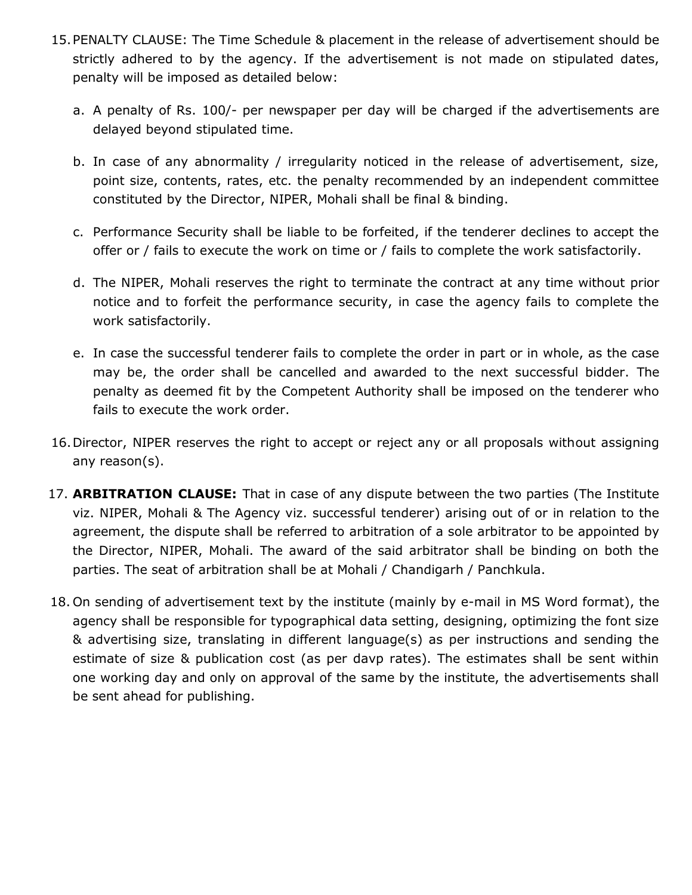- 15.PENALTY CLAUSE: The Time Schedule & placement in the release of advertisement should be strictly adhered to by the agency. If the advertisement is not made on stipulated dates, penalty will be imposed as detailed below:
	- a. A penalty of Rs. 100/- per newspaper per day will be charged if the advertisements are delayed beyond stipulated time.
	- b. In case of any abnormality / irregularity noticed in the release of advertisement, size, point size, contents, rates, etc. the penalty recommended by an independent committee constituted by the Director, NIPER, Mohali shall be final & binding.
	- c. Performance Security shall be liable to be forfeited, if the tenderer declines to accept the offer or / fails to execute the work on time or / fails to complete the work satisfactorily.
	- d. The NIPER, Mohali reserves the right to terminate the contract at any time without prior notice and to forfeit the performance security, in case the agency fails to complete the work satisfactorily.
	- e. In case the successful tenderer fails to complete the order in part or in whole, as the case may be, the order shall be cancelled and awarded to the next successful bidder. The penalty as deemed fit by the Competent Authority shall be imposed on the tenderer who fails to execute the work order.
- 16.Director, NIPER reserves the right to accept or reject any or all proposals without assigning any reason(s).
- 17. **ARBITRATION CLAUSE:** That in case of any dispute between the two parties (The Institute viz. NIPER, Mohali & The Agency viz. successful tenderer) arising out of or in relation to the agreement, the dispute shall be referred to arbitration of a sole arbitrator to be appointed by the Director, NIPER, Mohali. The award of the said arbitrator shall be binding on both the parties. The seat of arbitration shall be at Mohali / Chandigarh / Panchkula.
- 18. On sending of advertisement text by the institute (mainly by e-mail in MS Word format), the agency shall be responsible for typographical data setting, designing, optimizing the font size & advertising size, translating in different language(s) as per instructions and sending the estimate of size & publication cost (as per davp rates). The estimates shall be sent within one working day and only on approval of the same by the institute, the advertisements shall be sent ahead for publishing.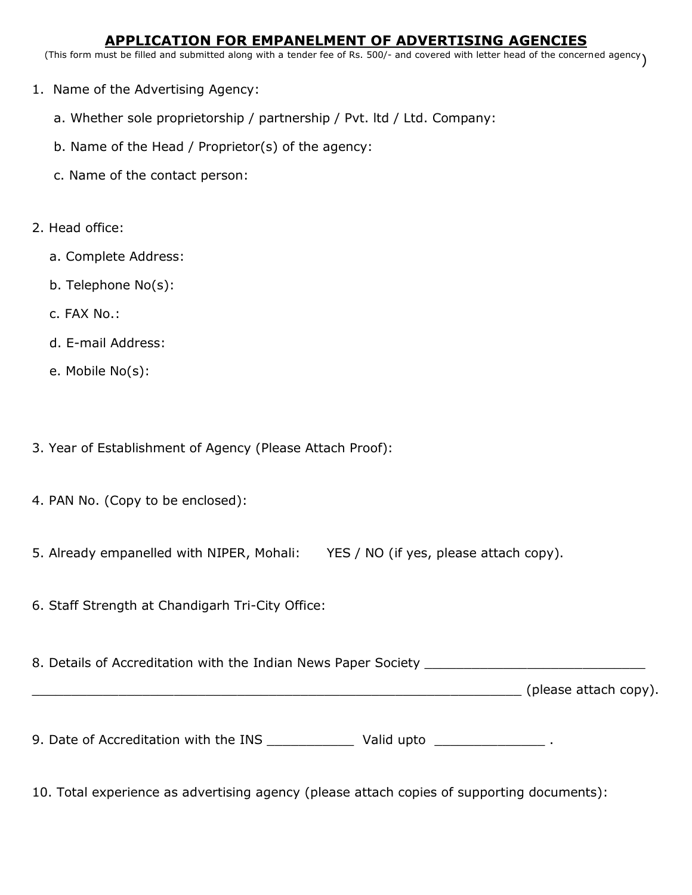#### **APPLICATION FOR EMPANELMENT OF ADVERTISING AGENCIES**

(This form must be filled and submitted along with a tender fee of Rs. 500/- and covered with letter head of the concerned agency)

- 1. Name of the Advertising Agency:
	- a. Whether sole proprietorship / partnership / Pvt. ltd / Ltd. Company:
	- b. Name of the Head / Proprietor(s) of the agency:
	- c. Name of the contact person:
- 2. Head office:
	- a. Complete Address:
	- b. Telephone No(s):
	- c. FAX No.:
	- d. E-mail Address:
	- e. Mobile No(s):
- 3. Year of Establishment of Agency (Please Attach Proof):
- 4. PAN No. (Copy to be enclosed):
- 5. Already empanelled with NIPER, Mohali: YES / NO (if yes, please attach copy).
- 6. Staff Strength at Chandigarh Tri-City Office:

8. Details of Accreditation with the Indian News Paper Society \_\_\_\_\_\_\_\_\_\_\_\_\_\_\_\_\_

\_\_\_\_\_\_\_\_\_\_\_\_\_\_\_\_\_\_\_\_\_\_\_\_\_\_\_\_\_\_\_\_\_\_\_\_\_\_\_\_\_\_\_\_\_\_\_\_\_\_\_\_\_\_\_\_\_\_\_\_\_\_ (please attach copy).

9. Date of Accreditation with the INS National Valid upto National Communisties

10. Total experience as advertising agency (please attach copies of supporting documents):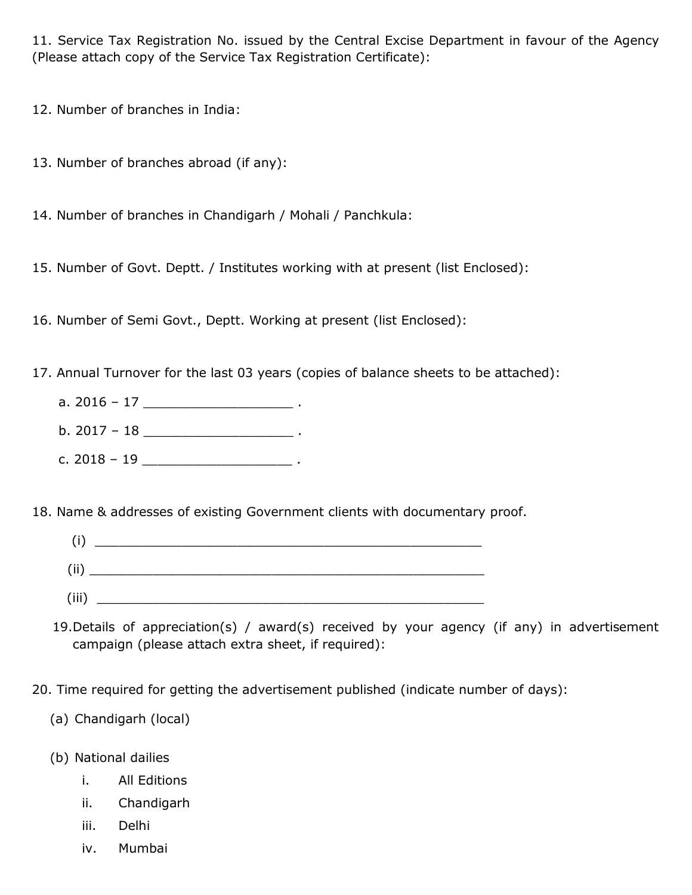11. Service Tax Registration No. issued by the Central Excise Department in favour of the Agency (Please attach copy of the Service Tax Registration Certificate):

12. Number of branches in India:

- 13. Number of branches abroad (if any):
- 14. Number of branches in Chandigarh / Mohali / Panchkula:
- 15. Number of Govt. Deptt. / Institutes working with at present (list Enclosed):
- 16. Number of Semi Govt., Deptt. Working at present (list Enclosed):
- 17. Annual Turnover for the last 03 years (copies of balance sheets to be attached):
	- a.  $2016 17$  .
	- b.  $2017 18$  .
	- c. 2018 19 \_\_\_\_\_\_\_\_\_\_\_\_\_\_\_\_\_\_\_ .

18. Name & addresses of existing Government clients with documentary proof.

- $(i)$   $\qquad \qquad$  $\rm (ii)$   $\overline{\phantom{a}}$ (iii)  $\Box$
- 19.Details of appreciation(s) / award(s) received by your agency (if any) in advertisement campaign (please attach extra sheet, if required):
- 20. Time required for getting the advertisement published (indicate number of days):
	- (a) Chandigarh (local)
	- (b) National dailies
		- i. All Editions
		- ii. Chandigarh
		- iii. Delhi
		- iv. Mumbai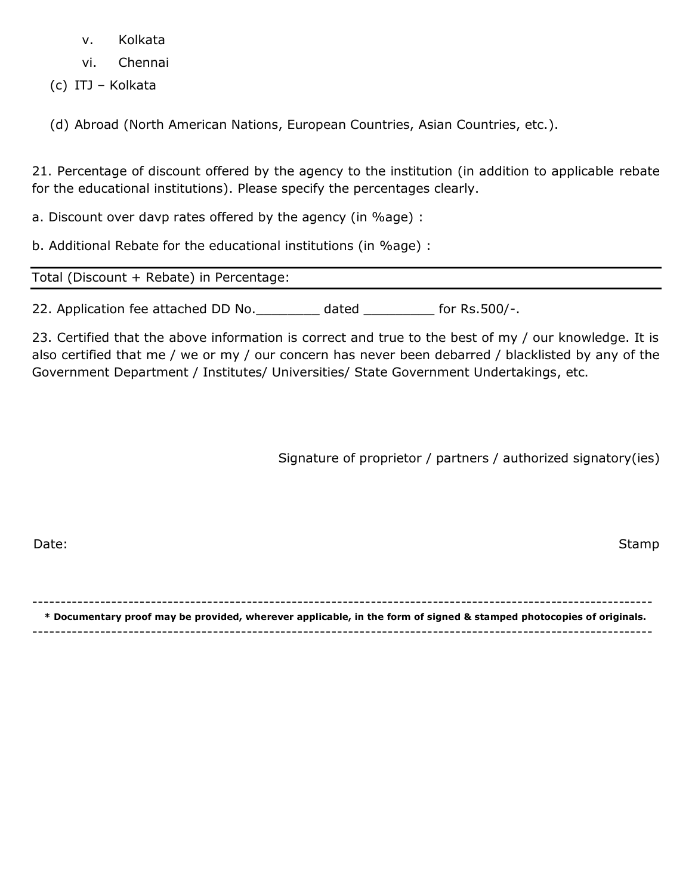- v. Kolkata
- vi. Chennai
- (c) ITJ Kolkata
- (d) Abroad (North American Nations, European Countries, Asian Countries, etc.).

21. Percentage of discount offered by the agency to the institution (in addition to applicable rebate for the educational institutions). Please specify the percentages clearly.

a. Discount over davp rates offered by the agency (in %age) :

b. Additional Rebate for the educational institutions (in %age) :

Total (Discount + Rebate) in Percentage:

22. Application fee attached DD No. \_\_\_\_\_\_\_\_ dated \_\_\_\_\_\_\_\_\_ for Rs.500/-.

23. Certified that the above information is correct and true to the best of my / our knowledge. It is also certified that me / we or my / our concern has never been debarred / blacklisted by any of the Government Department / Institutes/ Universities/ State Government Undertakings, etc.

Signature of proprietor / partners / authorized signatory(ies)

| a sa<br>×<br>٠ |  |
|----------------|--|
|                |  |

Date: Stamp Stamp Stamp Stamp Stamp Stamp Stamp Stamp Stamp Stamp Stamp Stamp Stamp Stamp Stamp Stamp Stamp Stamp

-------------------------------------------------------------------------------------------------------------- **\* Documentary proof may be provided, wherever applicable, in the form of signed & stamped photocopies of originals.**

--------------------------------------------------------------------------------------------------------------